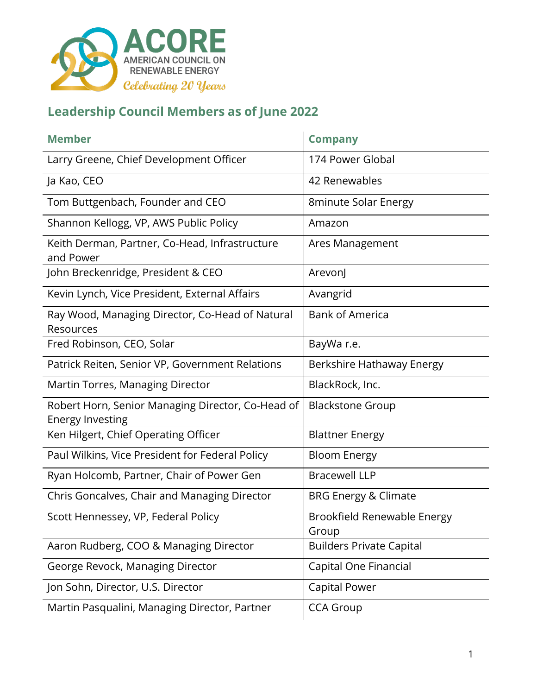

| <b>Member</b>                                                                | <b>Company</b>                       |
|------------------------------------------------------------------------------|--------------------------------------|
| Larry Greene, Chief Development Officer                                      | 174 Power Global                     |
| Ja Kao, CEO                                                                  | 42 Renewables                        |
| Tom Buttgenbach, Founder and CEO                                             | 8minute Solar Energy                 |
| Shannon Kellogg, VP, AWS Public Policy                                       | Amazon                               |
| Keith Derman, Partner, Co-Head, Infrastructure<br>and Power                  | Ares Management                      |
| John Breckenridge, President & CEO                                           | ArevonJ                              |
| Kevin Lynch, Vice President, External Affairs                                | Avangrid                             |
| Ray Wood, Managing Director, Co-Head of Natural<br>Resources                 | <b>Bank of America</b>               |
| Fred Robinson, CEO, Solar                                                    | BayWa r.e.                           |
| Patrick Reiten, Senior VP, Government Relations                              | Berkshire Hathaway Energy            |
| Martin Torres, Managing Director                                             | BlackRock, Inc.                      |
| Robert Horn, Senior Managing Director, Co-Head of<br><b>Energy Investing</b> | <b>Blackstone Group</b>              |
| Ken Hilgert, Chief Operating Officer                                         | <b>Blattner Energy</b>               |
| Paul Wilkins, Vice President for Federal Policy                              | <b>Bloom Energy</b>                  |
| Ryan Holcomb, Partner, Chair of Power Gen                                    | <b>Bracewell LLP</b>                 |
| Chris Goncalves, Chair and Managing Director                                 | <b>BRG Energy &amp; Climate</b>      |
| Scott Hennessey, VP, Federal Policy                                          | Brookfield Renewable Energy<br>Group |
| Aaron Rudberg, COO & Managing Director                                       | <b>Builders Private Capital</b>      |
| George Revock, Managing Director                                             | Capital One Financial                |
| Jon Sohn, Director, U.S. Director                                            | Capital Power                        |
| Martin Pasqualini, Managing Director, Partner                                | <b>CCA Group</b>                     |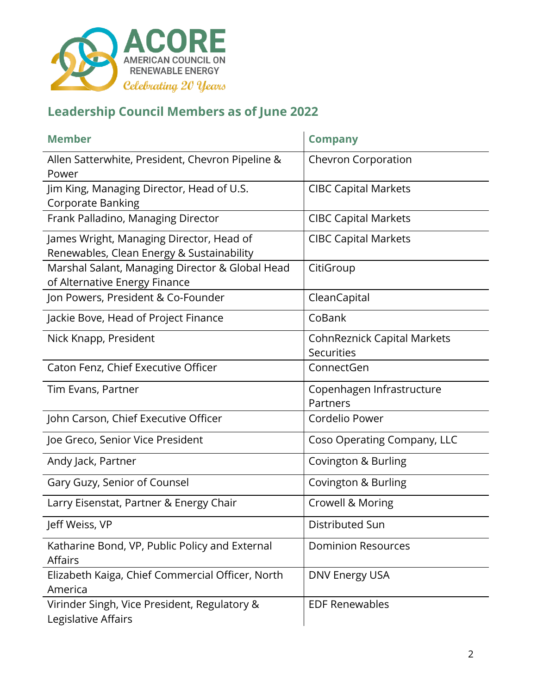

| <b>Member</b>                                                                         | <b>Company</b>                                          |
|---------------------------------------------------------------------------------------|---------------------------------------------------------|
| Allen Satterwhite, President, Chevron Pipeline &<br>Power                             | <b>Chevron Corporation</b>                              |
| Jim King, Managing Director, Head of U.S.<br><b>Corporate Banking</b>                 | <b>CIBC Capital Markets</b>                             |
| Frank Palladino, Managing Director                                                    | <b>CIBC Capital Markets</b>                             |
| James Wright, Managing Director, Head of<br>Renewables, Clean Energy & Sustainability | <b>CIBC Capital Markets</b>                             |
| Marshal Salant, Managing Director & Global Head<br>of Alternative Energy Finance      | CitiGroup                                               |
| Jon Powers, President & Co-Founder                                                    | CleanCapital                                            |
| Jackie Bove, Head of Project Finance                                                  | CoBank                                                  |
| Nick Knapp, President                                                                 | <b>CohnReznick Capital Markets</b><br><b>Securities</b> |
| Caton Fenz, Chief Executive Officer                                                   | ConnectGen                                              |
| Tim Evans, Partner                                                                    | Copenhagen Infrastructure<br>Partners                   |
| John Carson, Chief Executive Officer                                                  | Cordelio Power                                          |
| Joe Greco, Senior Vice President                                                      | Coso Operating Company, LLC                             |
| Andy Jack, Partner                                                                    | Covington & Burling                                     |
| Gary Guzy, Senior of Counsel                                                          | Covington & Burling                                     |
| Larry Eisenstat, Partner & Energy Chair                                               | Crowell & Moring                                        |
| Jeff Weiss, VP                                                                        | Distributed Sun                                         |
| Katharine Bond, VP, Public Policy and External<br><b>Affairs</b>                      | <b>Dominion Resources</b>                               |
| Elizabeth Kaiga, Chief Commercial Officer, North<br>America                           | <b>DNV Energy USA</b>                                   |
| Virinder Singh, Vice President, Regulatory &<br>Legislative Affairs                   | <b>EDF Renewables</b>                                   |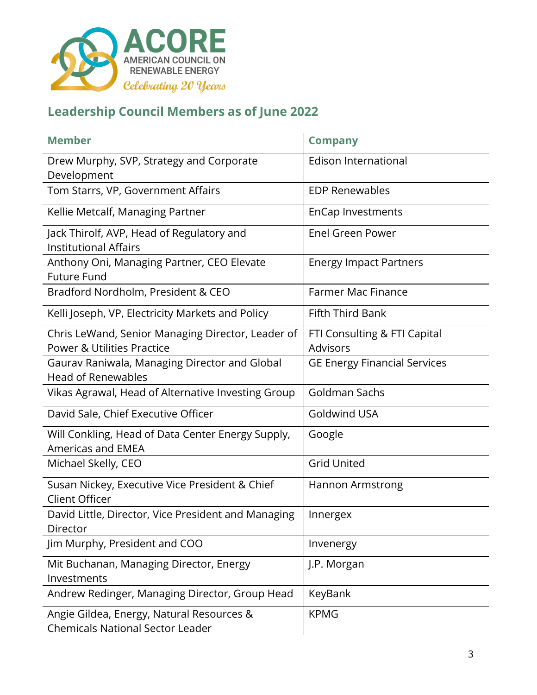

| <b>Member</b>                                                                              | <b>Company</b>                                  |
|--------------------------------------------------------------------------------------------|-------------------------------------------------|
| Drew Murphy, SVP, Strategy and Corporate<br>Development                                    | <b>Edison International</b>                     |
| Tom Starrs, VP, Government Affairs                                                         | <b>EDP Renewables</b>                           |
| Kellie Metcalf, Managing Partner                                                           | <b>EnCap Investments</b>                        |
| Jack Thirolf, AVP, Head of Regulatory and<br><b>Institutional Affairs</b>                  | <b>Enel Green Power</b>                         |
| Anthony Oni, Managing Partner, CEO Elevate<br><b>Future Fund</b>                           | <b>Energy Impact Partners</b>                   |
| Bradford Nordholm, President & CEO                                                         | <b>Farmer Mac Finance</b>                       |
| Kelli Joseph, VP, Electricity Markets and Policy                                           | <b>Fifth Third Bank</b>                         |
| Chris LeWand, Senior Managing Director, Leader of<br><b>Power &amp; Utilities Practice</b> | FTI Consulting & FTI Capital<br><b>Advisors</b> |
| Gaurav Raniwala, Managing Director and Global<br><b>Head of Renewables</b>                 | <b>GE Energy Financial Services</b>             |
| Vikas Agrawal, Head of Alternative Investing Group                                         | Goldman Sachs                                   |
| David Sale, Chief Executive Officer                                                        | <b>Goldwind USA</b>                             |
| Will Conkling, Head of Data Center Energy Supply,<br><b>Americas and EMEA</b>              | Google                                          |
| Michael Skelly, CEO                                                                        | <b>Grid United</b>                              |
| Susan Nickey, Executive Vice President & Chief<br><b>Client Officer</b>                    | <b>Hannon Armstrong</b>                         |
| David Little, Director, Vice President and Managing<br>Director                            | Innergex                                        |
| Jim Murphy, President and COO                                                              | Invenergy                                       |
| Mit Buchanan, Managing Director, Energy<br>Investments                                     | J.P. Morgan                                     |
| Andrew Redinger, Managing Director, Group Head                                             | KeyBank                                         |
| Angie Gildea, Energy, Natural Resources &<br><b>Chemicals National Sector Leader</b>       | <b>KPMG</b>                                     |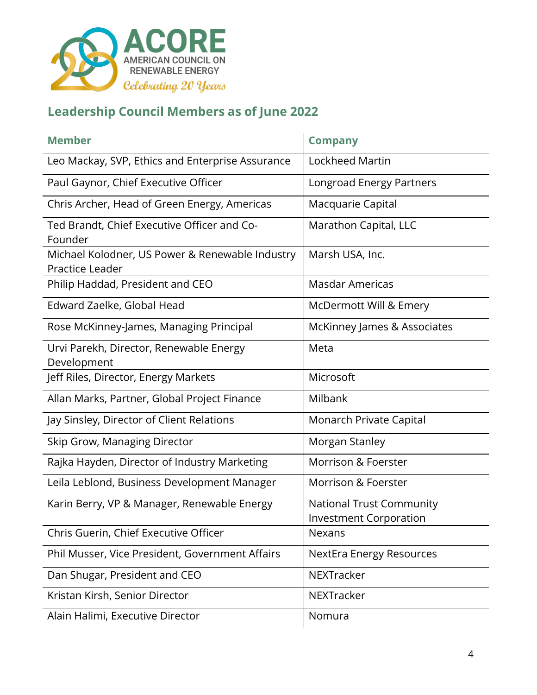

| <b>Member</b>                                                      | <b>Company</b>                                                   |
|--------------------------------------------------------------------|------------------------------------------------------------------|
| Leo Mackay, SVP, Ethics and Enterprise Assurance                   | Lockheed Martin                                                  |
| Paul Gaynor, Chief Executive Officer                               | Longroad Energy Partners                                         |
| Chris Archer, Head of Green Energy, Americas                       | Macquarie Capital                                                |
| Ted Brandt, Chief Executive Officer and Co-<br>Founder             | Marathon Capital, LLC                                            |
| Michael Kolodner, US Power & Renewable Industry<br>Practice Leader | Marsh USA, Inc.                                                  |
| Philip Haddad, President and CEO                                   | <b>Masdar Americas</b>                                           |
| Edward Zaelke, Global Head                                         | McDermott Will & Emery                                           |
| Rose McKinney-James, Managing Principal                            | McKinney James & Associates                                      |
| Urvi Parekh, Director, Renewable Energy<br>Development             | Meta                                                             |
| Jeff Riles, Director, Energy Markets                               | Microsoft                                                        |
| Allan Marks, Partner, Global Project Finance                       | Milbank                                                          |
| Jay Sinsley, Director of Client Relations                          | Monarch Private Capital                                          |
| Skip Grow, Managing Director                                       | Morgan Stanley                                                   |
| Rajka Hayden, Director of Industry Marketing                       | Morrison & Foerster                                              |
| Leila Leblond, Business Development Manager                        | Morrison & Foerster                                              |
| Karin Berry, VP & Manager, Renewable Energy                        | <b>National Trust Community</b><br><b>Investment Corporation</b> |
| Chris Guerin, Chief Executive Officer                              | Nexans                                                           |
| Phil Musser, Vice President, Government Affairs                    | <b>NextEra Energy Resources</b>                                  |
| Dan Shugar, President and CEO                                      | NEXTracker                                                       |
| Kristan Kirsh, Senior Director                                     | NEXTracker                                                       |
| Alain Halimi, Executive Director                                   | Nomura                                                           |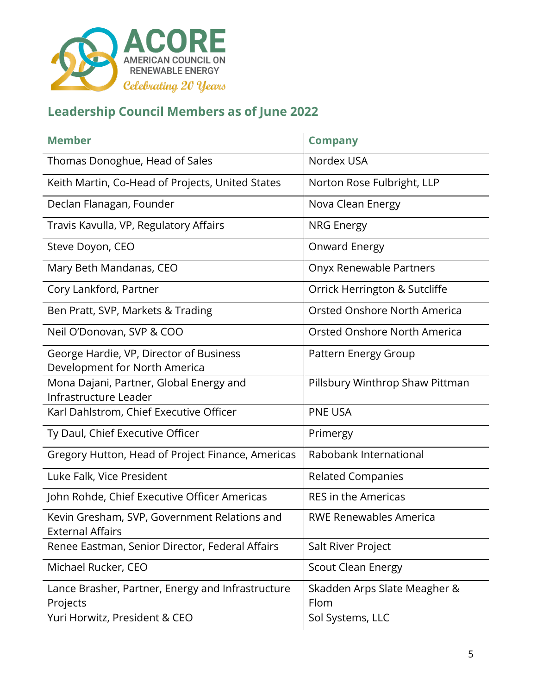

| <b>Member</b>                                                            | <b>Company</b>                       |
|--------------------------------------------------------------------------|--------------------------------------|
| Thomas Donoghue, Head of Sales                                           | Nordex USA                           |
| Keith Martin, Co-Head of Projects, United States                         | Norton Rose Fulbright, LLP           |
| Declan Flanagan, Founder                                                 | Nova Clean Energy                    |
| Travis Kavulla, VP, Regulatory Affairs                                   | <b>NRG Energy</b>                    |
| Steve Doyon, CEO                                                         | Onward Energy                        |
| Mary Beth Mandanas, CEO                                                  | Onyx Renewable Partners              |
| Cory Lankford, Partner                                                   | Orrick Herrington & Sutcliffe        |
| Ben Pratt, SVP, Markets & Trading                                        | Orsted Onshore North America         |
| Neil O'Donovan, SVP & COO                                                | Orsted Onshore North America         |
| George Hardie, VP, Director of Business<br>Development for North America | Pattern Energy Group                 |
| Mona Dajani, Partner, Global Energy and<br>Infrastructure Leader         | Pillsbury Winthrop Shaw Pittman      |
| Karl Dahlstrom, Chief Executive Officer                                  | <b>PNE USA</b>                       |
| Ty Daul, Chief Executive Officer                                         | Primergy                             |
| Gregory Hutton, Head of Project Finance, Americas                        | Rabobank International               |
| Luke Falk, Vice President                                                | <b>Related Companies</b>             |
| John Rohde, Chief Executive Officer Americas                             | <b>RES in the Americas</b>           |
| Kevin Gresham, SVP, Government Relations and<br><b>External Affairs</b>  | <b>RWE Renewables America</b>        |
| Renee Eastman, Senior Director, Federal Affairs                          | Salt River Project                   |
| Michael Rucker, CEO                                                      | <b>Scout Clean Energy</b>            |
| Lance Brasher, Partner, Energy and Infrastructure<br>Projects            | Skadden Arps Slate Meagher &<br>Flom |
| Yuri Horwitz, President & CEO                                            | Sol Systems, LLC                     |